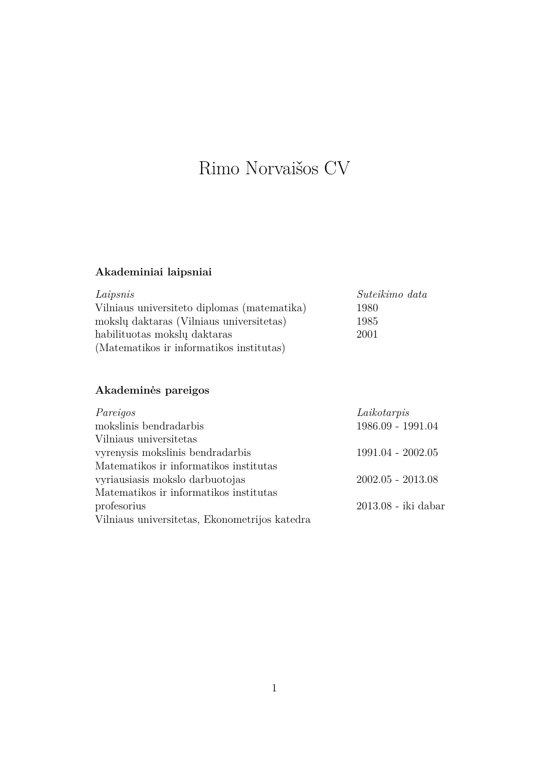# Rimo Norvaišos CV

# **Akademiniai laipsniai**

| Laipsnis                                     | Suteikimo data |
|----------------------------------------------|----------------|
| Vilniaus universite to diplomas (matematika) | 1980           |
| mokslų daktaras (Vilniaus universitetas)     | 1985           |
| habilituotas mokslų daktaras                 | 2001           |
| (Matematikos ir informatikos institutas)     |                |

# **Akademinės pareigos**

| Pareigos                                      | Laikotarpis         |
|-----------------------------------------------|---------------------|
| mokslinis bendradarbis                        | 1986.09 - 1991.04   |
| Vilniaus universitetas                        |                     |
| vyrenysis mokslinis bendradarbis              | $1991.04 - 2002.05$ |
| Matematikos ir informatikos institutas        |                     |
| vyriausiasis mokslo darbuotojas               | $2002.05 - 2013.08$ |
| Matematikos ir informatikos institutas        |                     |
| profesorius                                   | 2013.08 - iki dabar |
| Vilniaus universitetas, Ekonometrijos katedra |                     |
|                                               |                     |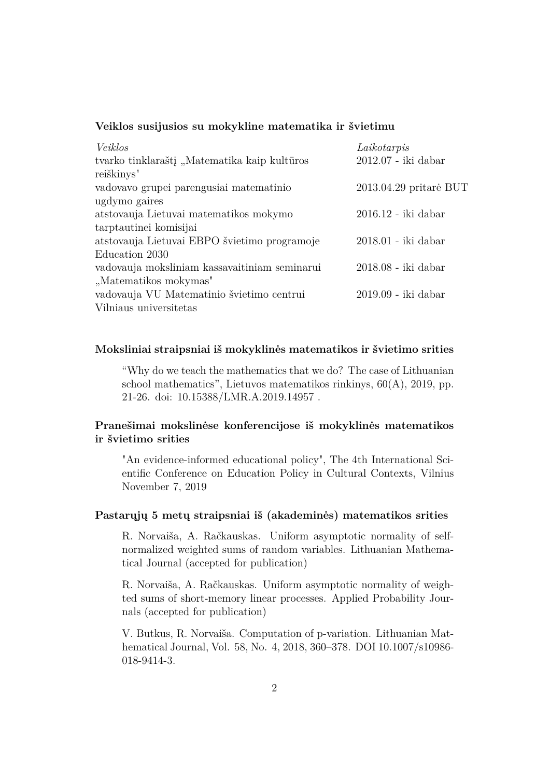### **Veiklos susijusios su mokykline matematika ir švietimu**

| Veiklos                                       | Laikotarpis            |
|-----------------------------------------------|------------------------|
| tvarko tinklaraštį, Matematika kaip kultūros  | $2012.07$ - iki dabar  |
| reiškinys"                                    |                        |
| vadovavo grupei parengusiai matematinio       | 2013.04.29 pritarė BUT |
| ugdymo gaires                                 |                        |
| atstovauja Lietuvai matematikos mokymo        | 2016.12 - iki dabar    |
| tarptautinei komisijai                        |                        |
| atstovauja Lietuvai EBPO švietimo programoje  | $2018.01$ - iki dabar  |
| Education 2030                                |                        |
| vadovauja moksliniam kassavaitiniam seminarui | 2018.08 - iki dabar    |
| "Matematikos mokymas"                         |                        |
| vadovauja VU Matematinio švietimo centrui     | 2019.09 - iki dabar    |
| Vilniaus universitetas                        |                        |

### **Moksliniai straipsniai iš mokyklinės matematikos ir švietimo srities**

"Why do we teach the mathematics that we do? The case of Lithuanian school mathematics", Lietuvos matematikos rinkinys, 60(A), 2019, pp. 21-26. doi: 10.15388/LMR.A.2019.14957 .

## **Pranešimai mokslinėse konferencijose iš mokyklinės matematikos ir švietimo srities**

"An evidence-informed educational policy", The 4th International Scientific Conference on Education Policy in Cultural Contexts, Vilnius November 7, 2019

#### **Pastarųjų 5 metų straipsniai iš (akademinės) matematikos srities**

R. Norvaiša, A. Račkauskas. Uniform asymptotic normality of selfnormalized weighted sums of random variables. Lithuanian Mathematical Journal (accepted for publication)

R. Norvaiša, A. Račkauskas. Uniform asymptotic normality of weighted sums of short-memory linear processes. Applied Probability Journals (accepted for publication)

V. Butkus, R. Norvaiša. Computation of p-variation. Lithuanian Mathematical Journal, Vol. 58, No. 4, 2018, 360–378. DOI 10.1007/s10986- 018-9414-3.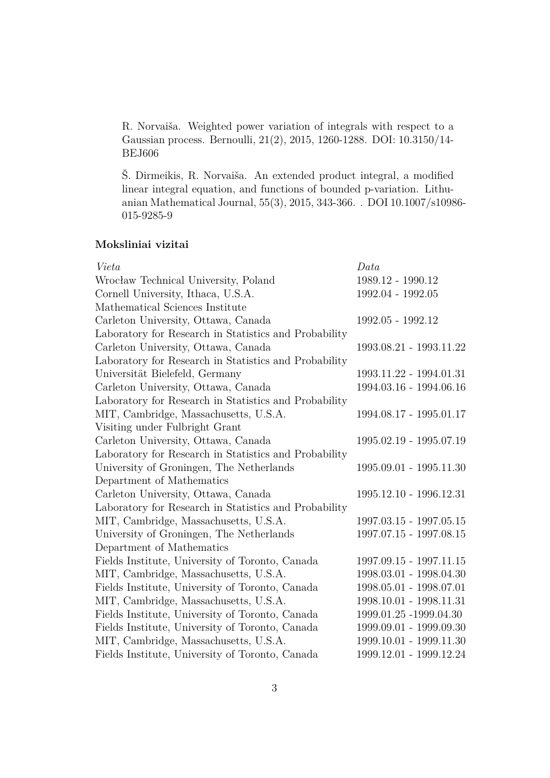R. Norvaiša. Weighted power variation of integrals with respect to a Gaussian process. Bernoulli, 21(2), 2015, 1260-1288. DOI: 10.3150/14- BEJ606

Š. Dirmeikis, R. Norvaiša. An extended product integral, a modified linear integral equation, and functions of bounded p-variation. Lithuanian Mathematical Journal, 55(3), 2015, 343-366. . DOI 10.1007/s10986- 015-9285-9

### **Moksliniai vizitai**

| Vieta                                                 | Data                    |
|-------------------------------------------------------|-------------------------|
| Wrocław Technical University, Poland                  | 1989.12 - 1990.12       |
| Cornell University, Ithaca, U.S.A.                    | 1992.04 - 1992.05       |
| Mathematical Sciences Institute                       |                         |
| Carleton University, Ottawa, Canada                   | 1992.05 - 1992.12       |
| Laboratory for Research in Statistics and Probability |                         |
| Carleton University, Ottawa, Canada                   | 1993.08.21 - 1993.11.22 |
| Laboratory for Research in Statistics and Probability |                         |
| Universität Bielefeld, Germany                        | 1993.11.22 - 1994.01.31 |
| Carleton University, Ottawa, Canada                   | 1994.03.16 - 1994.06.16 |
| Laboratory for Research in Statistics and Probability |                         |
| MIT, Cambridge, Massachusetts, U.S.A.                 | 1994.08.17 - 1995.01.17 |
| Visiting under Fulbright Grant                        |                         |
| Carleton University, Ottawa, Canada                   | 1995.02.19 - 1995.07.19 |
| Laboratory for Research in Statistics and Probability |                         |
| University of Groningen, The Netherlands              | 1995.09.01 - 1995.11.30 |
| Department of Mathematics                             |                         |
| Carleton University, Ottawa, Canada                   | 1995.12.10 - 1996.12.31 |
| Laboratory for Research in Statistics and Probability |                         |
| MIT, Cambridge, Massachusetts, U.S.A.                 | 1997.03.15 - 1997.05.15 |
| University of Groningen, The Netherlands              | 1997.07.15 - 1997.08.15 |
| Department of Mathematics                             |                         |
| Fields Institute, University of Toronto, Canada       | 1997.09.15 - 1997.11.15 |
| MIT, Cambridge, Massachusetts, U.S.A.                 | 1998.03.01 - 1998.04.30 |
| Fields Institute, University of Toronto, Canada       | 1998.05.01 - 1998.07.01 |
| MIT, Cambridge, Massachusetts, U.S.A.                 | 1998.10.01 - 1998.11.31 |
| Fields Institute, University of Toronto, Canada       | 1999.01.25 -1999.04.30  |
| Fields Institute, University of Toronto, Canada       | 1999.09.01 - 1999.09.30 |
| MIT, Cambridge, Massachusetts, U.S.A.                 | 1999.10.01 - 1999.11.30 |
| Fields Institute, University of Toronto, Canada       | 1999.12.01 - 1999.12.24 |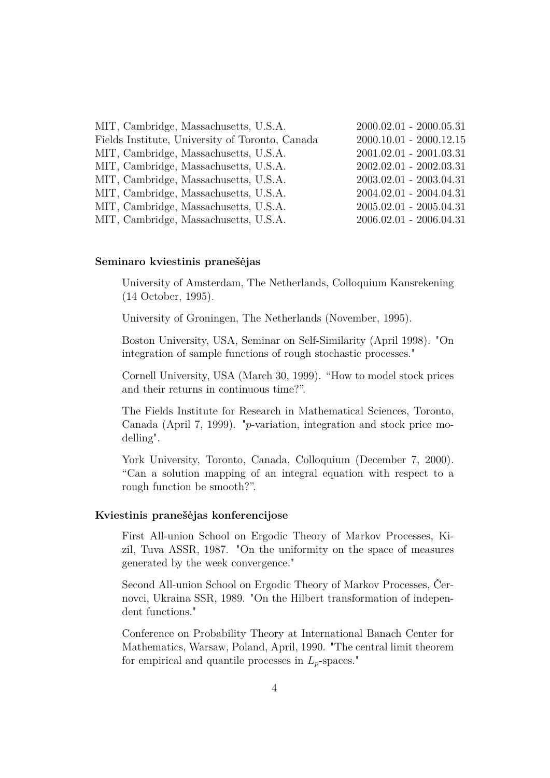| MIT, Cambridge, Massachusetts, U.S.A.           | $2000.02.01 - 2000.05.31$ |
|-------------------------------------------------|---------------------------|
| Fields Institute, University of Toronto, Canada | $2000.10.01 - 2000.12.15$ |
| MIT, Cambridge, Massachusetts, U.S.A.           | $2001.02.01 - 2001.03.31$ |
| MIT, Cambridge, Massachusetts, U.S.A.           | $2002.02.01 - 2002.03.31$ |
| MIT, Cambridge, Massachusetts, U.S.A.           | $2003.02.01 - 2003.04.31$ |
| MIT, Cambridge, Massachusetts, U.S.A.           | $2004.02.01 - 2004.04.31$ |
| MIT, Cambridge, Massachusetts, U.S.A.           | $2005.02.01 - 2005.04.31$ |
| MIT, Cambridge, Massachusetts, U.S.A.           | $2006.02.01 - 2006.04.31$ |

#### **Seminaro kviestinis pranešėjas**

University of Amsterdam, The Netherlands, Colloquium Kansrekening (14 October, 1995).

University of Groningen, The Netherlands (November, 1995).

Boston University, USA, Seminar on Self-Similarity (April 1998). "On integration of sample functions of rough stochastic processes."

Cornell University, USA (March 30, 1999). "How to model stock prices and their returns in continuous time?".

The Fields Institute for Research in Mathematical Sciences, Toronto, Canada (April 7, 1999). "*p*-variation, integration and stock price modelling".

York University, Toronto, Canada, Colloquium (December 7, 2000). "Can a solution mapping of an integral equation with respect to a rough function be smooth?".

#### **Kviestinis pranešėjas konferencijose**

First All-union School on Ergodic Theory of Markov Processes, Kizil, Tuva ASSR, 1987. "On the uniformity on the space of measures generated by the week convergence."

Second All-union School on Ergodic Theory of Markov Processes, Černovci, Ukraina SSR, 1989. "On the Hilbert transformation of independent functions."

Conference on Probability Theory at International Banach Center for Mathematics, Warsaw, Poland, April, 1990. "The central limit theorem for empirical and quantile processes in  $L_p$ -spaces."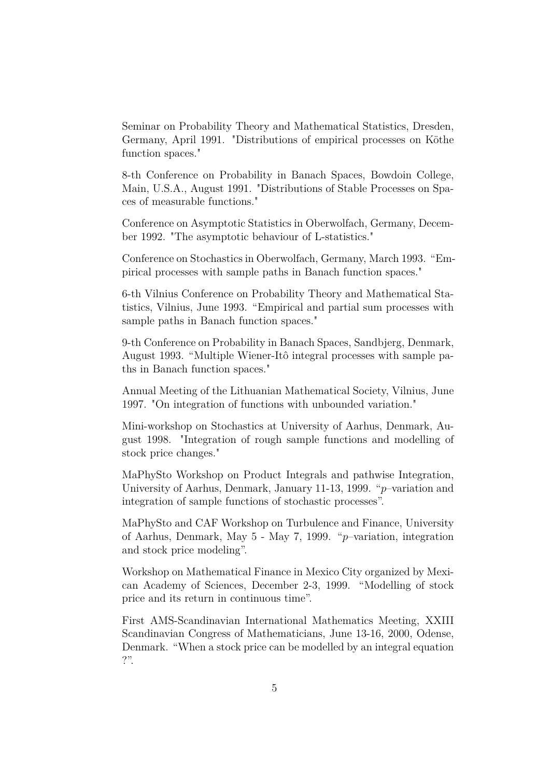Seminar on Probability Theory and Mathematical Statistics, Dresden, Germany, April 1991. "Distributions of empirical processes on Köthe function spaces."

8-th Conference on Probability in Banach Spaces, Bowdoin College, Main, U.S.A., August 1991. "Distributions of Stable Processes on Spaces of measurable functions."

Conference on Asymptotic Statistics in Oberwolfach, Germany, December 1992. "The asymptotic behaviour of L-statistics."

Conference on Stochastics in Oberwolfach, Germany, March 1993. "Empirical processes with sample paths in Banach function spaces."

6-th Vilnius Conference on Probability Theory and Mathematical Statistics, Vilnius, June 1993. "Empirical and partial sum processes with sample paths in Banach function spaces."

9-th Conference on Probability in Banach Spaces, Sandbjerg, Denmark, August 1993. "Multiple Wiener-Itô integral processes with sample paths in Banach function spaces."

Annual Meeting of the Lithuanian Mathematical Society, Vilnius, June 1997. "On integration of functions with unbounded variation."

Mini-workshop on Stochastics at University of Aarhus, Denmark, August 1998. "Integration of rough sample functions and modelling of stock price changes."

MaPhySto Workshop on Product Integrals and pathwise Integration, University of Aarhus, Denmark, January 11-13, 1999. "*p*–variation and integration of sample functions of stochastic processes".

MaPhySto and CAF Workshop on Turbulence and Finance, University of Aarhus, Denmark, May 5 - May 7, 1999. "*p*–variation, integration and stock price modeling".

Workshop on Mathematical Finance in Mexico City organized by Mexican Academy of Sciences, December 2-3, 1999. "Modelling of stock price and its return in continuous time".

First AMS-Scandinavian International Mathematics Meeting, XXIII Scandinavian Congress of Mathematicians, June 13-16, 2000, Odense, Denmark. "When a stock price can be modelled by an integral equation ?".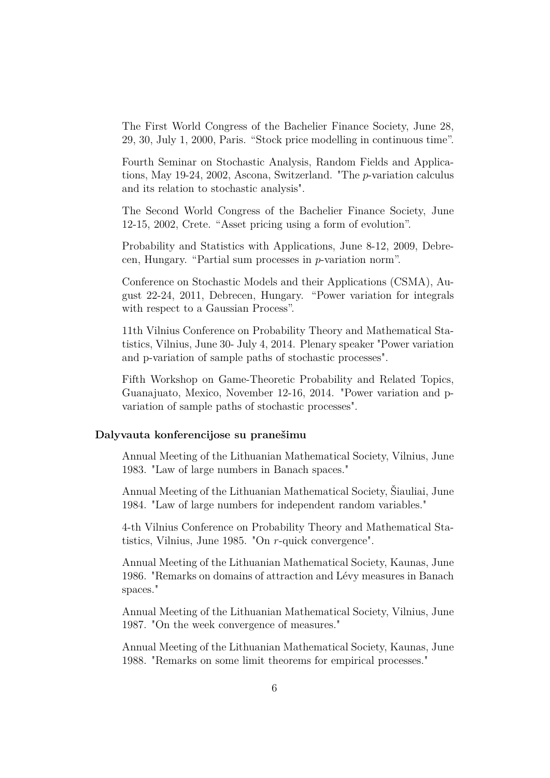The First World Congress of the Bachelier Finance Society, June 28, 29, 30, July 1, 2000, Paris. "Stock price modelling in continuous time".

Fourth Seminar on Stochastic Analysis, Random Fields and Applications, May 19-24, 2002, Ascona, Switzerland. "The *p*-variation calculus and its relation to stochastic analysis".

The Second World Congress of the Bachelier Finance Society, June 12-15, 2002, Crete. "Asset pricing using a form of evolution".

Probability and Statistics with Applications, June 8-12, 2009, Debrecen, Hungary. "Partial sum processes in *p*-variation norm".

Conference on Stochastic Models and their Applications (CSMA), August 22-24, 2011, Debrecen, Hungary. "Power variation for integrals with respect to a Gaussian Process".

11th Vilnius Conference on Probability Theory and Mathematical Statistics, Vilnius, June 30- July 4, 2014. Plenary speaker "Power variation and p-variation of sample paths of stochastic processes".

Fifth Workshop on Game-Theoretic Probability and Related Topics, Guanajuato, Mexico, November 12-16, 2014. "Power variation and pvariation of sample paths of stochastic processes".

#### **Dalyvauta konferencijose su pranešimu**

Annual Meeting of the Lithuanian Mathematical Society, Vilnius, June 1983. "Law of large numbers in Banach spaces."

Annual Meeting of the Lithuanian Mathematical Society, Šiauliai, June 1984. "Law of large numbers for independent random variables."

4-th Vilnius Conference on Probability Theory and Mathematical Statistics, Vilnius, June 1985. "On *r*-quick convergence".

Annual Meeting of the Lithuanian Mathematical Society, Kaunas, June 1986. "Remarks on domains of attraction and Lévy measures in Banach spaces."

Annual Meeting of the Lithuanian Mathematical Society, Vilnius, June 1987. "On the week convergence of measures."

Annual Meeting of the Lithuanian Mathematical Society, Kaunas, June 1988. "Remarks on some limit theorems for empirical processes."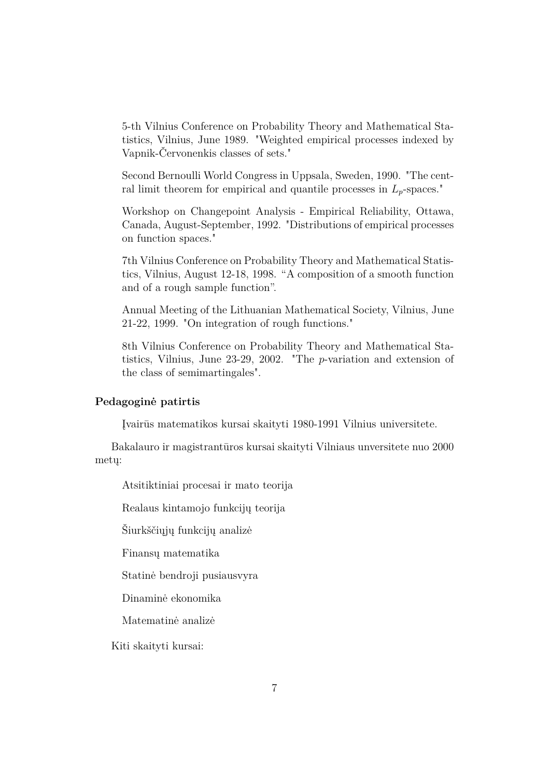5-th Vilnius Conference on Probability Theory and Mathematical Statistics, Vilnius, June 1989. "Weighted empirical processes indexed by Vapnik-Červonenkis classes of sets."

Second Bernoulli World Congress in Uppsala, Sweden, 1990. "The central limit theorem for empirical and quantile processes in *Lp*-spaces."

Workshop on Changepoint Analysis - Empirical Reliability, Ottawa, Canada, August-September, 1992. "Distributions of empirical processes on function spaces."

7th Vilnius Conference on Probability Theory and Mathematical Statistics, Vilnius, August 12-18, 1998. "A composition of a smooth function and of a rough sample function".

Annual Meeting of the Lithuanian Mathematical Society, Vilnius, June 21-22, 1999. "On integration of rough functions."

8th Vilnius Conference on Probability Theory and Mathematical Statistics, Vilnius, June 23-29, 2002. "The *p*-variation and extension of the class of semimartingales".

#### **Pedagoginė patirtis**

Įvairūs matematikos kursai skaityti 1980-1991 Vilnius universitete.

Bakalauro ir magistrantūros kursai skaityti Vilniaus unversitete nuo 2000 metų:

Atsitiktiniai procesai ir mato teorija

Realaus kintamojo funkcijų teorija

Šiurkščiųjų funkcijų analizė

Finansų matematika

Statinė bendroji pusiausvyra

Dinaminė ekonomika

Matematinė analizė

Kiti skaityti kursai: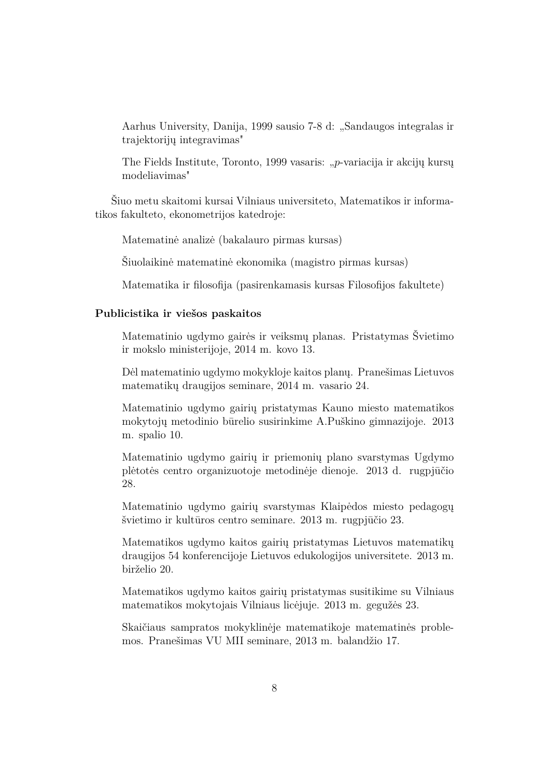Aarhus University, Danija, 1999 sausio 7-8 d: "Sandaugos integralas ir trajektorijų integravimas"

The Fields Institute, Toronto, 1999 vasaris: "*p*-variacija ir akcijų kursų modeliavimas"

Šiuo metu skaitomi kursai Vilniaus universiteto, Matematikos ir informatikos fakulteto, ekonometrijos katedroje:

Matematinė analizė (bakalauro pirmas kursas)

Šiuolaikinė matematinė ekonomika (magistro pirmas kursas)

Matematika ir filosofija (pasirenkamasis kursas Filosofijos fakultete)

#### **Publicistika ir viešos paskaitos**

Matematinio ugdymo gairės ir veiksmų planas. Pristatymas Švietimo ir mokslo ministerijoje, 2014 m. kovo 13.

Dėl matematinio ugdymo mokykloje kaitos planų. Pranešimas Lietuvos matematikų draugijos seminare, 2014 m. vasario 24.

Matematinio ugdymo gairių pristatymas Kauno miesto matematikos mokytojų metodinio būrelio susirinkime A.Puškino gimnazijoje. 2013 m. spalio 10.

Matematinio ugdymo gairių ir priemonių plano svarstymas Ugdymo plėtotės centro organizuotoje metodinėje dienoje. 2013 d. rugpjūčio 28.

Matematinio ugdymo gairių svarstymas Klaipėdos miesto pedagogų švietimo ir kultūros centro seminare. 2013 m. rugpjūčio 23.

Matematikos ugdymo kaitos gairių pristatymas Lietuvos matematikų draugijos 54 konferencijoje Lietuvos edukologijos universitete. 2013 m. birželio 20.

Matematikos ugdymo kaitos gairių pristatymas susitikime su Vilniaus matematikos mokytojais Vilniaus licėjuje. 2013 m. gegužės 23.

Skaičiaus sampratos mokyklinėje matematikoje matematinės problemos. Pranešimas VU MII seminare, 2013 m. balandžio 17.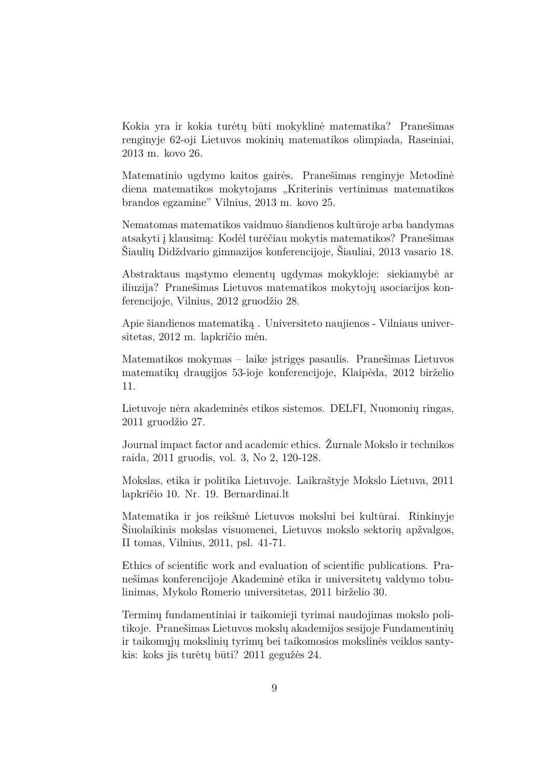Kokia yra ir kokia turėtų būti mokyklinė matematika? Pranešimas renginyje 62-oji Lietuvos mokinių matematikos olimpiada, Raseiniai, 2013 m. kovo 26.

Matematinio ugdymo kaitos gairės. Pranešimas renginyje Metodinė diena matematikos mokytojams "Kriterinis vertinimas matematikos brandos egzamine" Vilnius, 2013 m. kovo 25.

Nematomas matematikos vaidmuo šiandienos kultūroje arba bandymas atsakyti į klausimą: Kodėl turėčiau mokytis matematikos? Pranešimas Šiaulių Didždvario gimnazijos konferencijoje, Šiauliai, 2013 vasario 18.

Abstraktaus mąstymo elementų ugdymas mokykloje: siekiamybė ar iliuzija? Pranešimas Lietuvos matematikos mokytojų asociacijos konferencijoje, Vilnius, 2012 gruodžio 28.

Apie šiandienos matematiką . Universiteto naujienos - Vilniaus universitetas, 2012 m. lapkričio mėn.

Matematikos mokymas – laike įstrigęs pasaulis. Pranešimas Lietuvos matematikų draugijos 53-ioje konferencijoje, Klaipėda, 2012 birželio 11.

Lietuvoje nėra akademinės etikos sistemos. DELFI, Nuomonių ringas, 2011 gruodžio 27.

Journal impact factor and academic ethics. Žurnale Mokslo ir technikos raida, 2011 gruodis, vol. 3, No 2, 120-128.

Mokslas, etika ir politika Lietuvoje. Laikraštyje Mokslo Lietuva, 2011 lapkričio 10. Nr. 19. Bernardinai.lt

Matematika ir jos reikšmė Lietuvos mokslui bei kultūrai. Rinkinyje Šiuolaikinis mokslas visuomenei, Lietuvos mokslo sektorių apžvalgos, II tomas, Vilnius, 2011, psl. 41-71.

Ethics of scientific work and evaluation of scientific publications. Pranešimas konferencijoje Akademinė etika ir universitetų valdymo tobulinimas, Mykolo Romerio universitetas, 2011 birželio 30.

Terminų fundamentiniai ir taikomieji tyrimai naudojimas mokslo politikoje. Pranešimas Lietuvos mokslų akademijos sesijoje Fundamentinių ir taikomųjų mokslinių tyrimų bei taikomosios mokslinės veiklos santykis: koks jis turėtų būti? 2011 gegužės 24.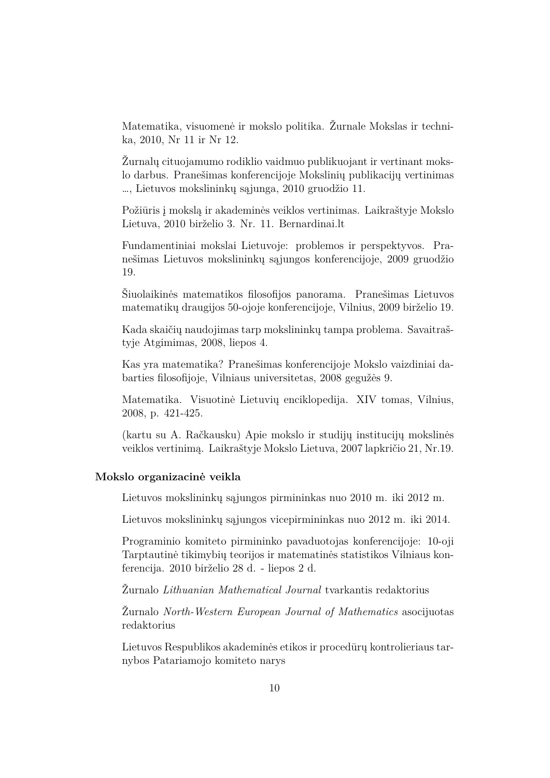Matematika, visuomenė ir mokslo politika. Žurnale Mokslas ir technika, 2010, Nr 11 ir Nr 12.

Žurnalų cituojamumo rodiklio vaidmuo publikuojant ir vertinant mokslo darbus. Pranešimas konferencijoje Mokslinių publikacijų vertinimas …, Lietuvos mokslininkų sąjunga, 2010 gruodžio 11.

Požiūris į mokslą ir akademinės veiklos vertinimas. Laikraštyje Mokslo Lietuva, 2010 birželio 3. Nr. 11. Bernardinai.lt

Fundamentiniai mokslai Lietuvoje: problemos ir perspektyvos. Pranešimas Lietuvos mokslininkų sąjungos konferencijoje, 2009 gruodžio 19.

Šiuolaikinės matematikos filosofijos panorama. Pranešimas Lietuvos matematikų draugijos 50-ojoje konferencijoje, Vilnius, 2009 birželio 19.

Kada skaičių naudojimas tarp mokslininkų tampa problema. Savaitraštyje Atgimimas, 2008, liepos 4.

Kas yra matematika? Pranešimas konferencijoje Mokslo vaizdiniai dabarties filosofijoje, Vilniaus universitetas, 2008 gegužės 9.

Matematika. Visuotinė Lietuvių enciklopedija. XIV tomas, Vilnius, 2008, p. 421-425.

(kartu su A. Račkausku) Apie mokslo ir studijų institucijų mokslinės veiklos vertinimą. Laikraštyje Mokslo Lietuva, 2007 lapkričio 21, Nr.19.

#### **Mokslo organizacinė veikla**

Lietuvos mokslininkų sąjungos pirmininkas nuo 2010 m. iki 2012 m.

Lietuvos mokslininkų sąjungos vicepirmininkas nuo 2012 m. iki 2014.

Programinio komiteto pirmininko pavaduotojas konferencijoje: 10-oji Tarptautinė tikimybių teorijos ir matematinės statistikos Vilniaus konferencija. 2010 birželio 28 d. - liepos 2 d.

Žurnalo *Lithuanian Mathematical Journal* tvarkantis redaktorius

Žurnalo *North-Western European Journal of Mathematics* asocijuotas redaktorius

Lietuvos Respublikos akademinės etikos ir procedūrų kontrolieriaus tarnybos Patariamojo komiteto narys